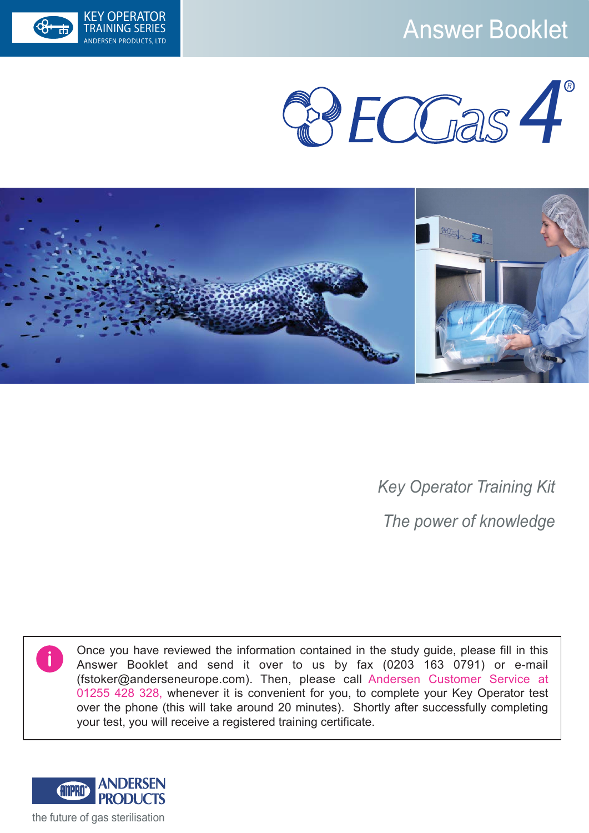# KEY OPERATOR<br>TRAINING SERIES NATIONAL SERIES NATIONAL ANSWER BOOKLET







*Key Operator Training Kit The power of knowledge*

Once you have reviewed the information contained in the study guide, please fill in this Answer Booklet and send it over to us by fax (0203 163 0791) or e-mail (fstoker@anderseneurope.com). Then, please call Andersen Customer Service at 01255 428 328, whenever it is convenient for you, to complete your Key Operator test over the phone (this will take around 20 minutes). Shortly after successfully completing your test, you will receive a registered training certificate.

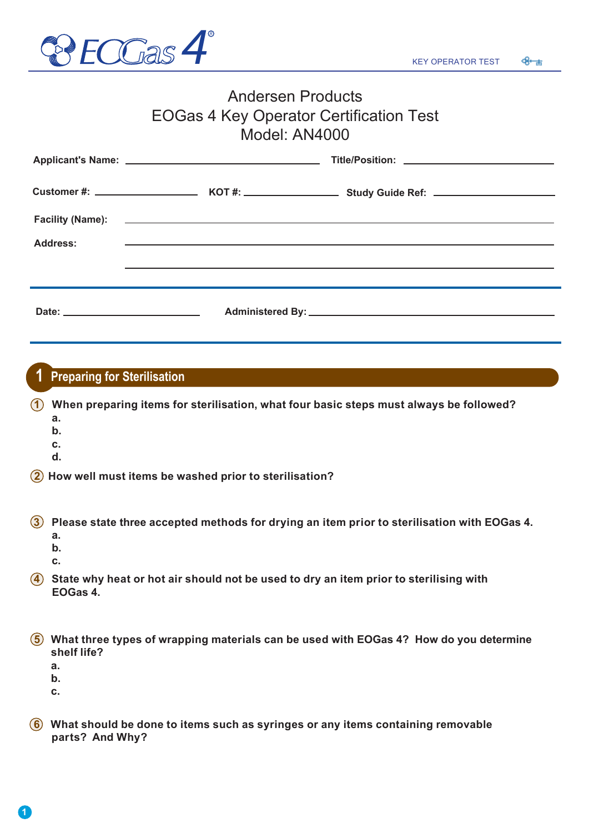

### Andersen Products EOGas 4 Key Operator Certification Test Model: AN4000

| <b>Address:</b> | <u> 1989 - Andrea Stadt Britain, amerikan bestean ingilang pada sebagai pada sebagai pada sebagai pada sebagai pa</u> |
|-----------------|-----------------------------------------------------------------------------------------------------------------------|
|                 |                                                                                                                       |
|                 |                                                                                                                       |
|                 |                                                                                                                       |

#### **Preparing for Sterilisation 1**

**1** When preparing items for sterilisation, what four basic steps must always be followed?

- **a.**
- **b.**
- **c.**
- **d.**

**2 How well must items be washed prior to sterilisation?**

**3 Please state three accepted methods for drying an item prior to sterilisation with EOGas 4. a.**

- **b.**
- **c.**
- 

**4** State why heat or hot air should not be used to dry an item prior to sterilising with  **EOGas 4.**

| 6 What three types of wrapping materials can be used with EOGas 4? How do you determine |  |
|-----------------------------------------------------------------------------------------|--|
| shelf life?                                                                             |  |

- **a.**
- **b.**
- **c.**

**1**

**6 What should be done to items such as syringes or any items containing removable parts? And Why?**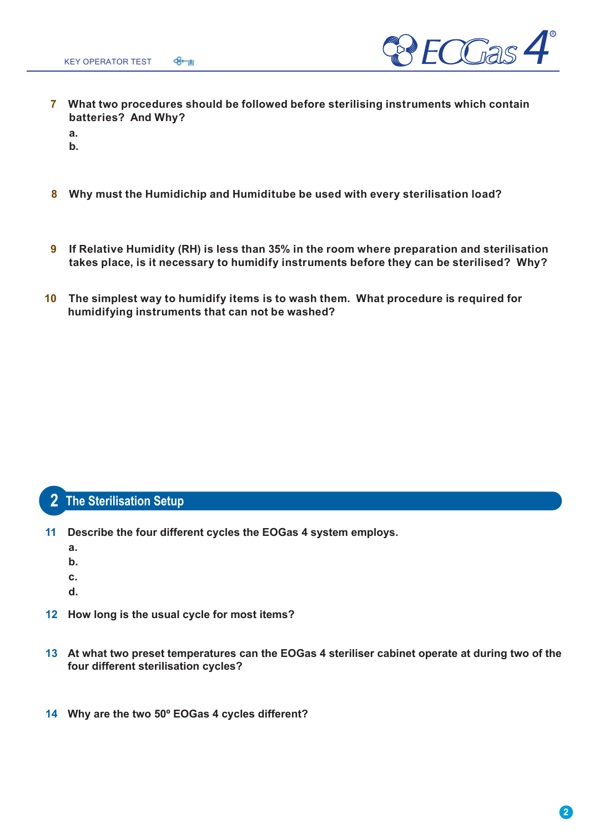

- **7 What two procedures should be followed before sterilising instruments which contain batteries? And Why?**
	- **a. b.**
- **8 Why must the Humidichip and Humiditube be used with every sterilisation load?**
- **9 If Relative Humidity (RH) is less than 35% in the room where preparation and sterilisation takes place, is it necessary to humidify instruments before they can be sterilised? Why?**
- **10 The simplest way to humidify items is to wash them. What procedure is required for humidifying instruments that can not be washed?**

## **The Sterilisation Setup 2**

- **11 Describe the four different cycles the EOGas 4 system employs.**
	- **a.**
	- **b.**
	- **c.**
	- **d.**
- **12 How long is the usual cycle for most items?**
- **13 At what two preset temperatures can the EOGas 4 steriliser cabinet operate at during two of the four different sterilisation cycles?**
- **14 Why are the two 50º EOGas 4 cycles different?**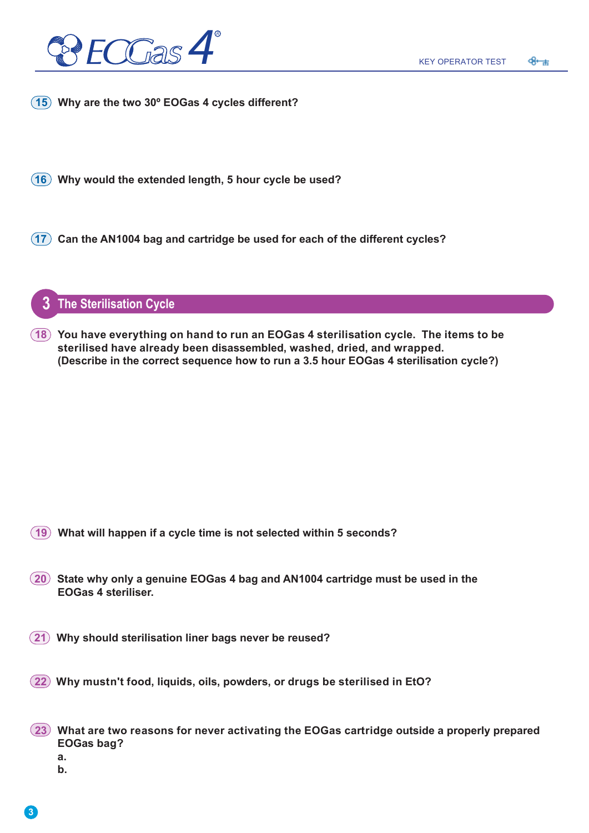

**15 Why are the two 30º EOGas 4 cycles different?**

**16 Why would the extended length, 5 hour cycle be used?**

**17 Can the AN1004 bag and cartridge be used for each of the different cycles?**

**3 The Sterilisation Cycle**

**18 You have everything on hand to run an EOGas 4 sterilisation cycle. The items to be sterilised have already been disassembled, washed, dried, and wrapped. (Describe in the correct sequence how to run a 3.5 hour EOGas 4 sterilisation cycle?)**

- **19 What will happen if a cycle time is not selected within 5 seconds?**
- **20 State why only a genuine EOGas 4 bag and AN1004 cartridge must be used in the EOGas 4 steriliser.**
- **21 Why should sterilisation liner bags never be reused?**
- **22 Why mustn't food, liquids, oils, powders, or drugs be sterilised in EtO?**
- **23 What are two reasons for never activating the EOGas cartridge outside a properly prepared EOGas bag?**
	- **a.**
	- **b.**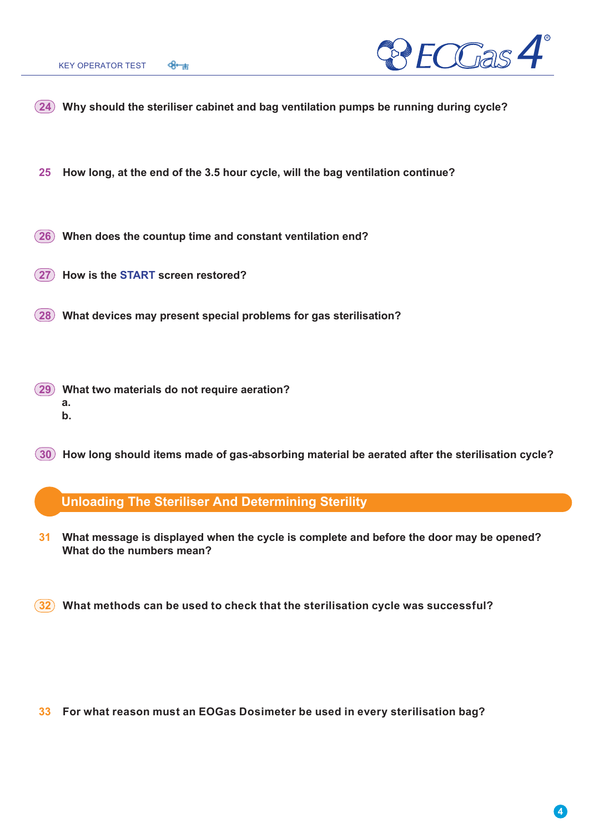

- **24 Why should the steriliser cabinet and bag ventilation pumps be running during cycle?**
- **25 How long, at the end of the 3.5 hour cycle, will the bag ventilation continue?**
- **26 When does the countup time and constant ventilation end?**
- **27 How is the START screen restored?**
- **28 What devices may present special problems for gas sterilisation?**
- **29 What two materials do not require aeration? a. b.**
- **30 How long should items made of gas-absorbing material be aerated after the sterilisation cycle?**

#### **Unloading The Steriliser And Determining Sterility**

- **31 What message is displayed when the cycle is complete and before the door may be opened? What do the numbers mean?**
- **32 What methods can be used to check that the sterilisation cycle was successful?**

**33 For what reason must an EOGas Dosimeter be used in every sterilisation bag?**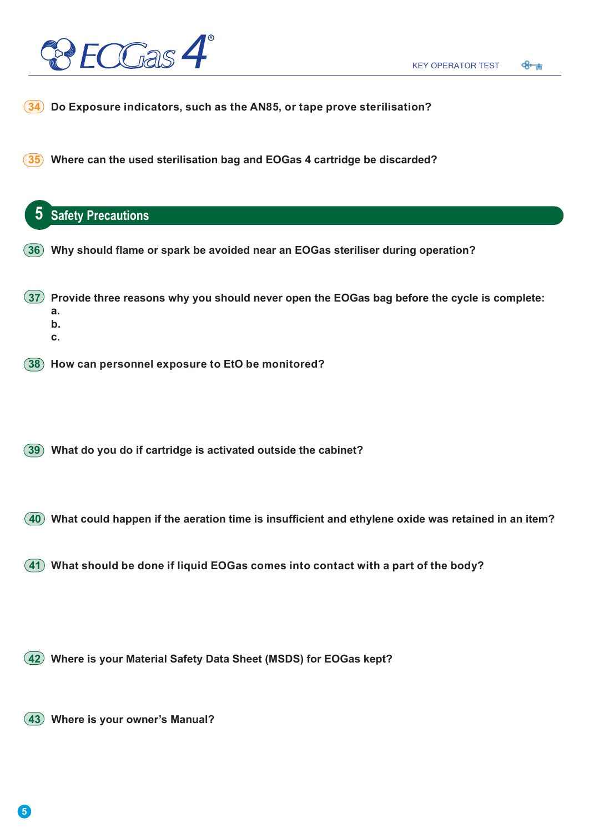

- **34 Do Exposure indicators, such as the AN85, or tape prove sterilisation?**
- **35 Where can the used sterilisation bag and EOGas 4 cartridge be discarded?**

# **5 Safety Precautions 38 How can personnel exposure to EtO be monitored? 42 Where is your Material Safety Data Sheet (MSDS) for EOGas kept? 37 Provide three reasons why you should never open the EOGas bag before the cycle is complete: a. b. c. 43 Where is your owner's Manual? 40 What could happen if the aeration time is insufficient and ethylene oxide was retained in an item? 36 Why should flame or spark be avoided near an EOGas steriliser during operation? 41 What should be done if liquid EOGas comes into contact with a part of the body? 39 What do you do if cartridge is activated outside the cabinet?**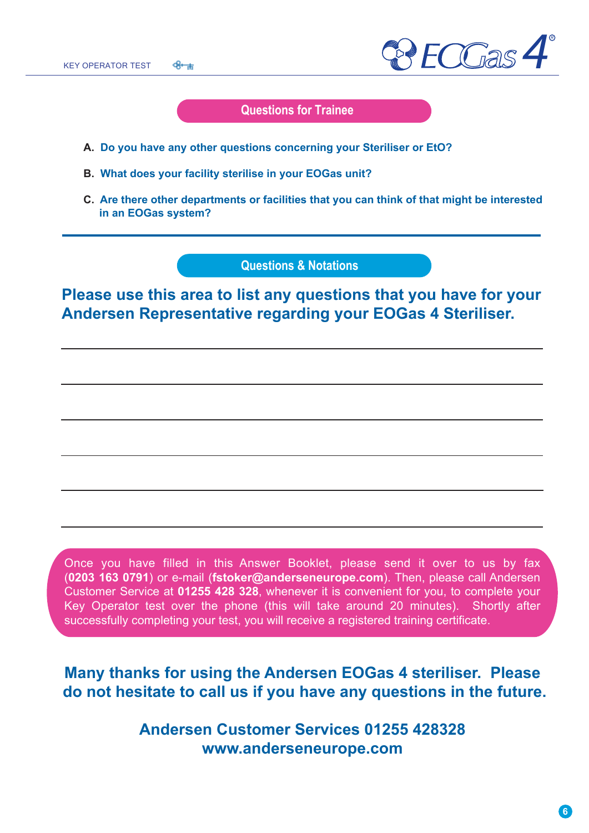

#### **Questions for Trainee**

- **A. Do you have any other questions concerning your Steriliser or EtO?**
- **B. What does your facility sterilise in your EOGas unit?**
- **C. Are there other departments or facilities that you can think of that might be interested in an EOGas system?**

**Questions & Notations**

**Please use this area to list any questions that you have for your Andersen Representative regarding your EOGas 4 Steriliser.**

Once you have filled in this Answer Booklet, please send it over to us by fax (**0203 163 0791**) or e-mail (**fstoker@anderseneurope.com**). Then, please call Andersen Customer Service at **01255 428 328**, whenever it is convenient for you, to complete your Key Operator test over the phone (this will take around 20 minutes). Shortly after successfully completing your test, you will receive a registered training certificate.

**Many thanks for using the Andersen EOGas 4 steriliser. Please do not hesitate to call us if you have any questions in the future.**

> **Andersen Customer Services 01255 428328 www.anderseneurope.com**